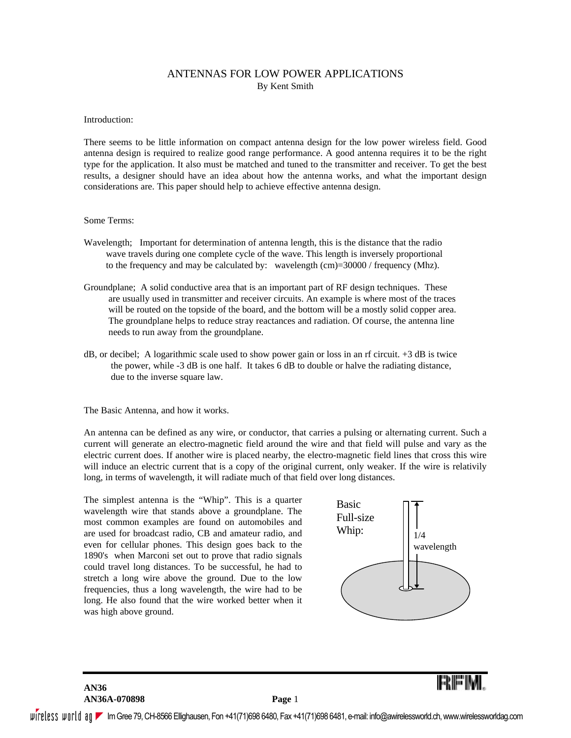# ANTENNAS FOR LOW POWER APPLICATIONS By Kent Smith

### Introduction:

There seems to be little information on compact antenna design for the low power wireless field. Good antenna design is required to realize good range performance. A good antenna requires it to be the right type for the application. It also must be matched and tuned to the transmitter and receiver. To get the best results, a designer should have an idea about how the antenna works, and what the important design considerations are. This paper should help to achieve effective antenna design.

## Some Terms:

- Wavelength; Important for determination of antenna length, this is the distance that the radio wave travels during one complete cycle of the wave. This length is inversely proportional to the frequency and may be calculated by: wavelength (cm)=30000 / frequency (Mhz).
- Groundplane; A solid conductive area that is an important part of RF design techniques. These are usually used in transmitter and receiver circuits. An example is where most of the traces will be routed on the topside of the board, and the bottom will be a mostly solid copper area. The groundplane helps to reduce stray reactances and radiation. Of course, the antenna line needs to run away from the groundplane.
- dB, or decibel; A logarithmic scale used to show power gain or loss in an rf circuit. +3 dB is twice the power, while -3 dB is one half. It takes 6 dB to double or halve the radiating distance, due to the inverse square law.

The Basic Antenna, and how it works.

An antenna can be defined as any wire, or conductor, that carries a pulsing or alternating current. Such a current will generate an electro-magnetic field around the wire and that field will pulse and vary as the electric current does. If another wire is placed nearby, the electro-magnetic field lines that cross this wire will induce an electric current that is a copy of the original current, only weaker. If the wire is relativily long, in terms of wavelength, it will radiate much of that field over long distances.

The simplest antenna is the "Whip". This is a quarter wavelength wire that stands above a groundplane. The most common examples are found on automobiles and are used for broadcast radio, CB and amateur radio, and even for cellular phones. This design goes back to the 1890's when Marconi set out to prove that radio signals could travel long distances. To be successful, he had to stretch a long wire above the ground. Due to the low frequencies, thus a long wavelength, the wire had to be long. He also found that the wire worked better when it was high above ground.



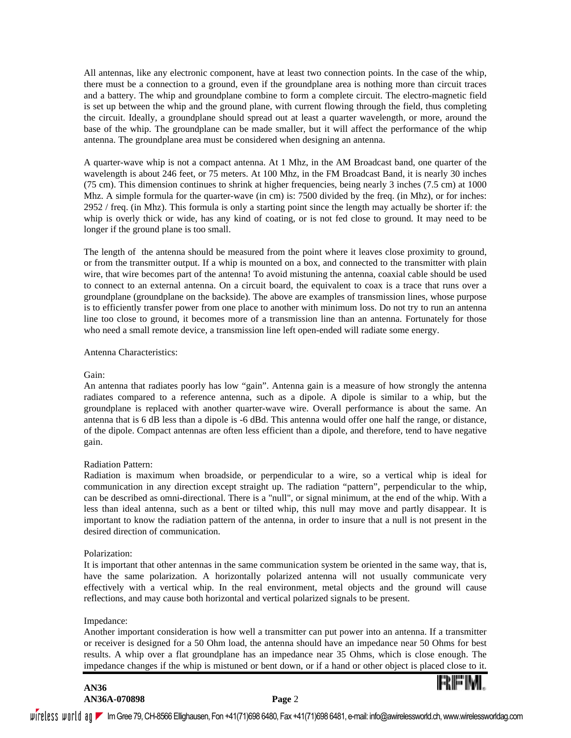All antennas, like any electronic component, have at least two connection points. In the case of the whip, there must be a connection to a ground, even if the groundplane area is nothing more than circuit traces and a battery. The whip and groundplane combine to form a complete circuit. The electro-magnetic field is set up between the whip and the ground plane, with current flowing through the field, thus completing the circuit. Ideally, a groundplane should spread out at least a quarter wavelength, or more, around the base of the whip. The groundplane can be made smaller, but it will affect the performance of the whip antenna. The groundplane area must be considered when designing an antenna.

A quarter-wave whip is not a compact antenna. At 1 Mhz, in the AM Broadcast band, one quarter of the wavelength is about 246 feet, or 75 meters. At 100 Mhz, in the FM Broadcast Band, it is nearly 30 inches (75 cm). This dimension continues to shrink at higher frequencies, being nearly 3 inches (7.5 cm) at 1000 Mhz. A simple formula for the quarter-wave (in cm) is: 7500 divided by the freq. (in Mhz), or for inches: 2952 / freq. (in Mhz). This formula is only a starting point since the length may actually be shorter if: the whip is overly thick or wide, has any kind of coating, or is not fed close to ground. It may need to be longer if the ground plane is too small.

The length of the antenna should be measured from the point where it leaves close proximity to ground, or from the transmitter output. If a whip is mounted on a box, and connected to the transmitter with plain wire, that wire becomes part of the antenna! To avoid mistuning the antenna, coaxial cable should be used to connect to an external antenna. On a circuit board, the equivalent to coax is a trace that runs over a groundplane (groundplane on the backside). The above are examples of transmission lines, whose purpose is to efficiently transfer power from one place to another with minimum loss. Do not try to run an antenna line too close to ground, it becomes more of a transmission line than an antenna. Fortunately for those who need a small remote device, a transmission line left open-ended will radiate some energy.

## Antenna Characteristics:

### Gain:

An antenna that radiates poorly has low "gain". Antenna gain is a measure of how strongly the antenna radiates compared to a reference antenna, such as a dipole. A dipole is similar to a whip, but the groundplane is replaced with another quarter-wave wire. Overall performance is about the same. An antenna that is 6 dB less than a dipole is -6 dBd. This antenna would offer one half the range, or distance, of the dipole. Compact antennas are often less efficient than a dipole, and therefore, tend to have negative gain.

### Radiation Pattern:

Radiation is maximum when broadside, or perpendicular to a wire, so a vertical whip is ideal for communication in any direction except straight up. The radiation "pattern", perpendicular to the whip, can be described as omni-directional. There is a "null", or signal minimum, at the end of the whip. With a less than ideal antenna, such as a bent or tilted whip, this null may move and partly disappear. It is important to know the radiation pattern of the antenna, in order to insure that a null is not present in the desired direction of communication.

## Polarization:

It is important that other antennas in the same communication system be oriented in the same way, that is, have the same polarization. A horizontally polarized antenna will not usually communicate very effectively with a vertical whip. In the real environment, metal objects and the ground will cause reflections, and may cause both horizontal and vertical polarized signals to be present.

### Impedance:

Another important consideration is how well a transmitter can put power into an antenna. If a transmitter or receiver is designed for a 50 Ohm load, the antenna should have an impedance near 50 Ohms for best results. A whip over a flat groundplane has an impedance near 35 Ohms, which is close enough. The impedance changes if the whip is mistuned or bent down, or if a hand or other object is placed close to it.

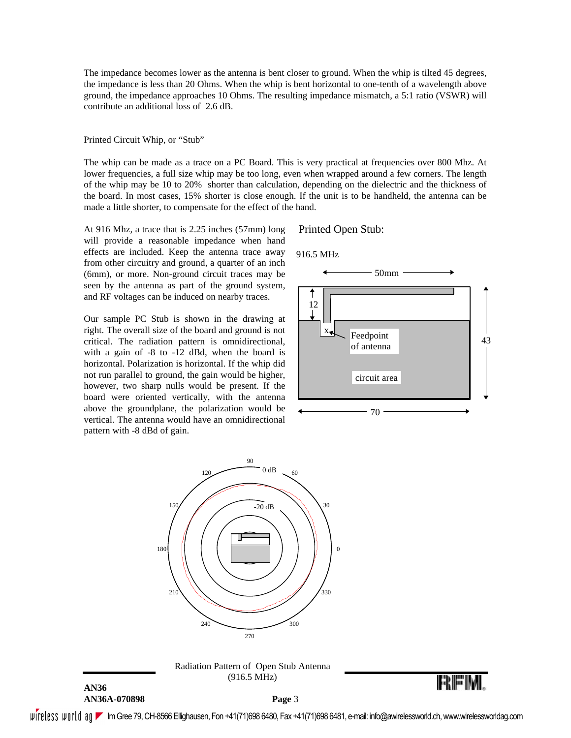The impedance becomes lower as the antenna is bent closer to ground. When the whip is tilted 45 degrees, the impedance is less than 20 Ohms. When the whip is bent horizontal to one-tenth of a wavelength above ground, the impedance approaches 10 Ohms. The resulting impedance mismatch, a 5:1 ratio (VSWR) will contribute an additional loss of 2.6 dB.

### Printed Circuit Whip, or "Stub"

The whip can be made as a trace on a PC Board. This is very practical at frequencies over 800 Mhz. At lower frequencies, a full size whip may be too long, even when wrapped around a few corners. The length of the whip may be 10 to 20% shorter than calculation, depending on the dielectric and the thickness of the board. In most cases, 15% shorter is close enough. If the unit is to be handheld, the antenna can be made a little shorter, to compensate for the effect of the hand.

At 916 Mhz, a trace that is 2.25 inches (57mm) long will provide a reasonable impedance when hand effects are included. Keep the antenna trace away from other circuitry and ground, a quarter of an inch (6mm), or more. Non-ground circuit traces may be seen by the antenna as part of the ground system, and RF voltages can be induced on nearby traces.

Our sample PC Stub is shown in the drawing at right. The overall size of the board and ground is not critical. The radiation pattern is omnidirectional, with a gain of -8 to -12 dBd, when the board is horizontal. Polarization is horizontal. If the whip did not run parallel to ground, the gain would be higher, however, two sharp nulls would be present. If the board were oriented vertically, with the antenna above the groundplane, the polarization would be vertical. The antenna would have an omnidirectional pattern with -8 dBd of gain.

**AN36**

Printed Open Stub:







Radiation Pattern of Open Stub Antenna (916.5 MHz)

**AN36A-070898 Page** 3

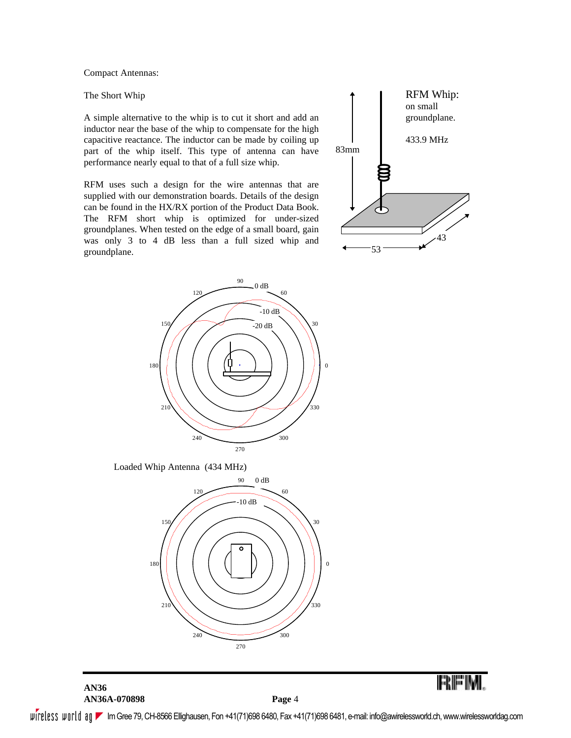Compact Antennas:

The Short Whip

A simple alternative to the whip is to cut it short and add an inductor near the base of the whip to compensate for the high capacitive reactance. The inductor can be made by coiling up part of the whip itself. This type of antenna can have performance nearly equal to that of a full size whip.

RFM uses such a design for the wire antennas that are supplied with our demonstration boards. Details of the design can be found in the HX/RX portion of the Product Data Book. The RFM short whip is optimized for under-sized groundplanes. When tested on the edge of a small board, gain was only 3 to 4 dB less than a full sized whip and groundplane.





Loaded Whip Antenna (434 MHz)



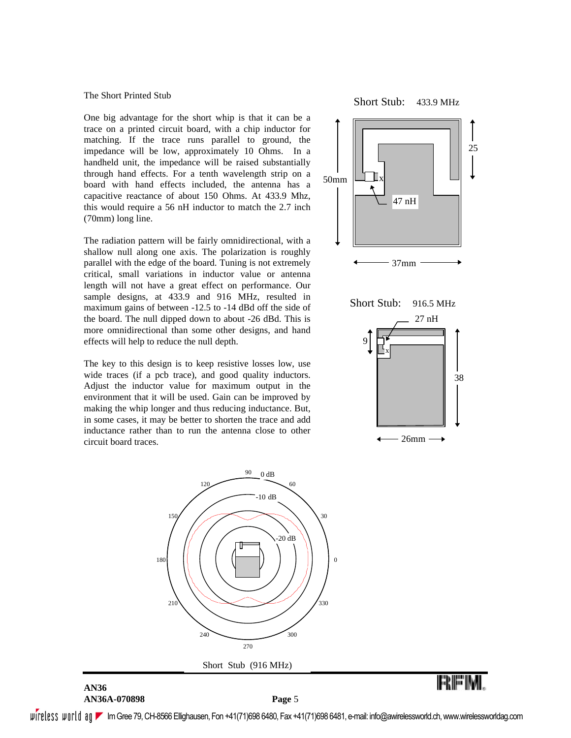#### The Short Printed Stub

One big advantage for the short whip is that it can be a trace on a printed circuit board, with a chip inductor for matching. If the trace runs parallel to ground, the impedance will be low, approximately 10 Ohms. In a handheld unit, the impedance will be raised substantially through hand effects. For a tenth wavelength strip on a board with hand effects included, the antenna has a capacitive reactance of about 150 Ohms. At 433.9 Mhz, this would require a 56 nH inductor to match the 2.7 inch (70mm) long line.

The radiation pattern will be fairly omnidirectional, with a shallow null along one axis. The polarization is roughly parallel with the edge of the board. Tuning is not extremely critical, small variations in inductor value or antenna length will not have a great effect on performance. Our sample designs, at 433.9 and 916 MHz, resulted in maximum gains of between -12.5 to -14 dBd off the side of the board. The null dipped down to about -26 dBd. This is more omnidirectional than some other designs, and hand effects will help to reduce the null depth.

The key to this design is to keep resistive losses low, use wide traces (if a pcb trace), and good quality inductors. Adjust the inductor value for maximum output in the environment that it will be used. Gain can be improved by making the whip longer and thus reducing inductance. But, in some cases, it may be better to shorten the trace and add inductance rather than to run the antenna close to other circuit board traces.



# Short Stub: 433.9 MHz 50mm 25 x

47 nH

37mm



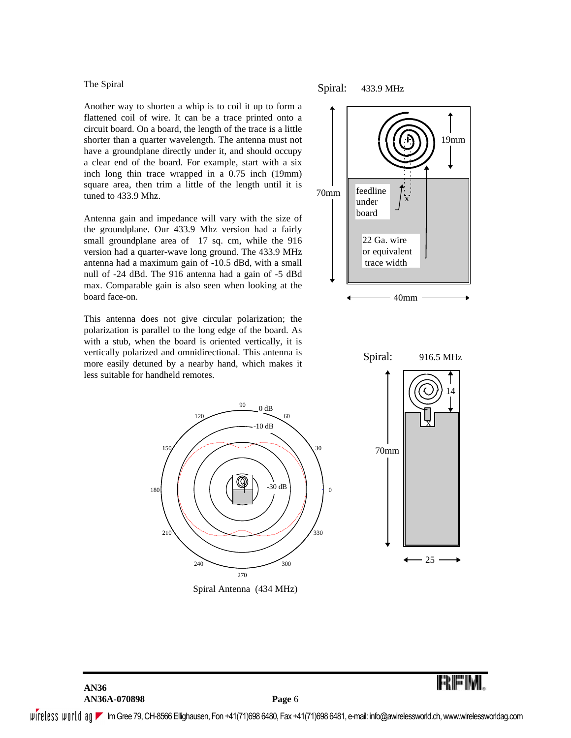### The Spiral

Another way to shorten a whip is to coil it up to form a flattened coil of wire. It can be a trace printed onto a circuit board. On a board, the length of the trace is a little shorter than a quarter wavelength. The antenna must not have a groundplane directly under it, and should occupy a clear end of the board. For example, start with a six inch long thin trace wrapped in a 0.75 inch (19mm) square area, then trim a little of the length until it is tuned to 433.9 Mhz.

Antenna gain and impedance will vary with the size of the groundplane. Our 433.9 Mhz version had a fairly small groundplane area of 17 sq. cm, while the 916 version had a quarter-wave long ground. The 433.9 MHz antenna had a maximum gain of -10.5 dBd, with a small null of -24 dBd. The 916 antenna had a gain of -5 dBd max. Comparable gain is also seen when looking at the board face-on.

This antenna does not give circular polarization; the polarization is parallel to the long edge of the board. As with a stub, when the board is oriented vertically, it is vertically polarized and omnidirectional. This antenna is more easily detuned by a nearby hand, which makes it less suitable for handheld remotes.



Spiral Antenna (434 MHz)

Spiral: 433.9 MHz





FRIE IN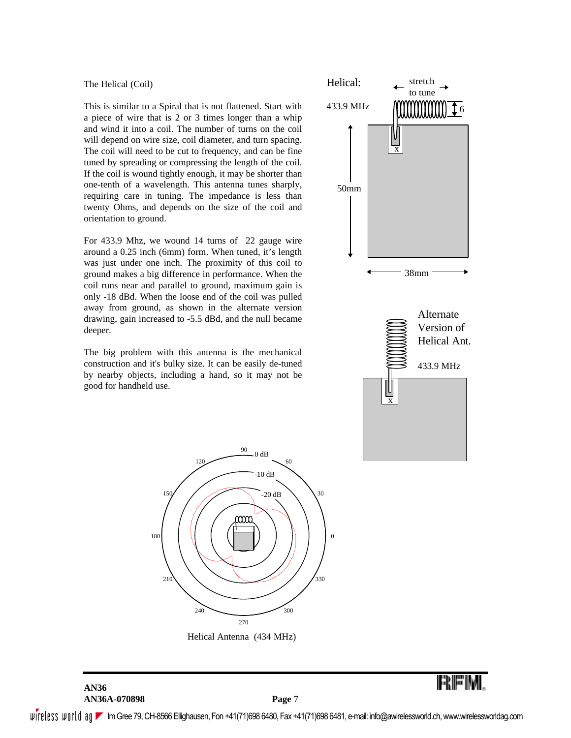The Helical (Coil)

This is similar to a Spiral that is not flattened. Start with a piece of wire that is 2 or 3 times longer than a whip and wind it into a coil. The number of turns on the coil will depend on wire size, coil diameter, and turn spacing. The coil will need to be cut to frequency, and can be fine tuned by spreading or compressing the length of the coil. If the coil is wound tightly enough, it may be shorter than one-tenth of a wavelength. This antenna tunes sharply, requiring care in tuning. The impedance is less than twenty Ohms, and depends on the size of the coil and orientation to ground.

For 433.9 Mhz, we wound 14 turns of 22 gauge wire around a 0.25 inch (6mm) form. When tuned, it's length was just under one inch. The proximity of this coil to ground makes a big difference in performance. When the coil runs near and parallel to ground, maximum gain is only -18 dBd. When the loose end of the coil was pulled away from ground, as shown in the alternate version drawing, gain increased to -5.5 dBd, and the null became deeper.

The big problem with this antenna is the mechanical construction and it's bulky size. It can be easily de-tuned by nearby objects, including a hand, so it may not be good for handheld use.





Helical Antenna (434 MHz)

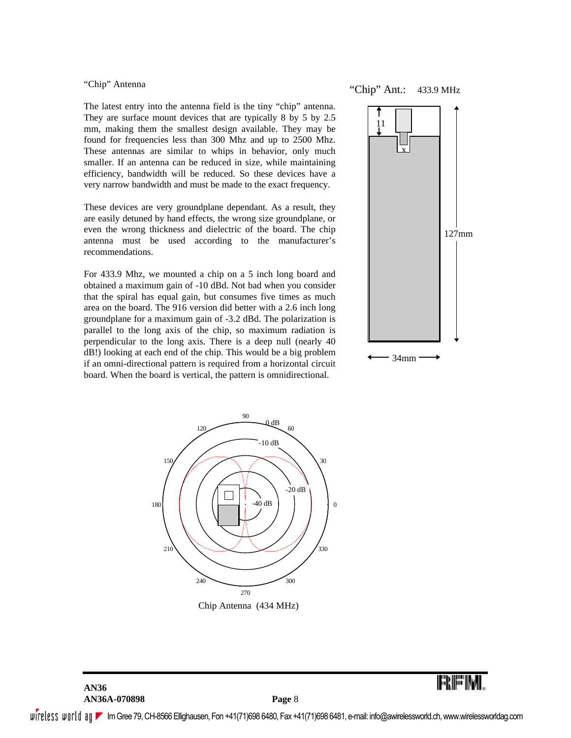### "Chip" Antenna

The latest entry into the antenna field is the tiny "chip" antenna. They are surface mount devices that are typically 8 by 5 by 2.5 mm, making them the smallest design available. They may be found for frequencies less than 300 Mhz and up to 2500 Mhz. These antennas are similar to whips in behavior, only much smaller. If an antenna can be reduced in size, while maintaining efficiency, bandwidth will be reduced. So these devices have a very narrow bandwidth and must be made to the exact frequency.

These devices are very groundplane dependant. As a result, they are easily detuned by hand effects, the wrong size groundplane, or even the wrong thickness and dielectric of the board. The chip antenna must be used according to the manufacturer's recommendations.

For 433.9 Mhz, we mounted a chip on a 5 inch long board and obtained a maximum gain of -10 dBd. Not bad when you consider that the spiral has equal gain, but consumes five times as much area on the board. The 916 version did better with a 2.6 inch long groundplane for a maximum gain of -3.2 dBd. The polarization is parallel to the long axis of the chip, so maximum radiation is perpendicular to the long axis. There is a deep null (nearly 40 dB!) looking at each end of the chip. This would be a big problem if an omni-directional pattern is required from a horizontal circuit board. When the board is vertical, the pattern is omnidirectional.







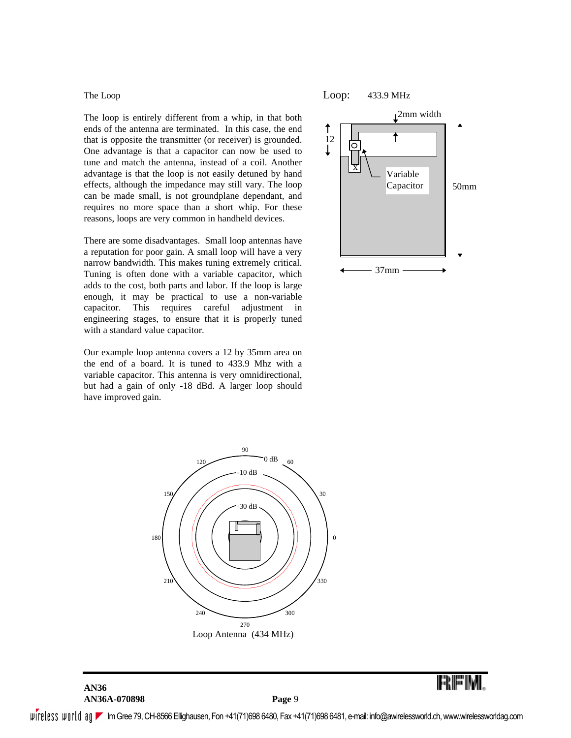The Loop

The loop is entirely different from a whip, in that both ends of the antenna are terminated. In this case, the end that is opposite the transmitter (or receiver) is grounded. One advantage is that a capacitor can now be used to tune and match the antenna, instead of a coil. Another advantage is that the loop is not easily detuned by hand effects, although the impedance may still vary. The loop can be made small, is not groundplane dependant, and requires no more space than a short whip. For these reasons, loops are very common in handheld devices.

There are some disadvantages. Small loop antennas have a reputation for poor gain. A small loop will have a very narrow bandwidth. This makes tuning extremely critical. Tuning is often done with a variable capacitor, which adds to the cost, both parts and labor. If the loop is large enough, it may be practical to use a non-variable capacitor. This requires careful adjustment in engineering stages, to ensure that it is properly tuned with a standard value capacitor.

Our example loop antenna covers a 12 by 35mm area on the end of a board. It is tuned to 433.9 Mhz with a variable capacitor. This antenna is very omnidirectional, but had a gain of only -18 dBd. A larger loop should have improved gain.





BRIGIN

# **AN36 AN36A-070898 Page** 9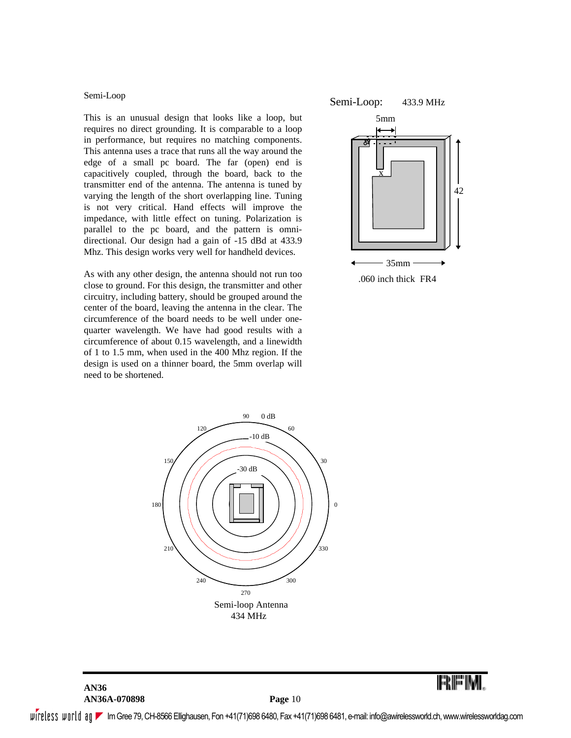Semi-Loop

This is an unusual design that looks like a loop, but requires no direct grounding. It is comparable to a loop in performance, but requires no matching components. This antenna uses a trace that runs all the way around the edge of a small pc board. The far (open) end is capacitively coupled, through the board, back to the transmitter end of the antenna. The antenna is tuned by varying the length of the short overlapping line. Tuning is not very critical. Hand effects will improve the impedance, with little effect on tuning. Polarization is parallel to the pc board, and the pattern is omnidirectional. Our design had a gain of -15 dBd at 433.9 Mhz. This design works very well for handheld devices.

As with any other design, the antenna should not run too close to ground. For this design, the transmitter and other circuitry, including battery, should be grouped around the center of the board, leaving the antenna in the clear. The circumference of the board needs to be well under onequarter wavelength. We have had good results with a circumference of about 0.15 wavelength, and a linewidth of 1 to 1.5 mm, when used in the 400 Mhz region. If the design is used on a thinner board, the 5mm overlap will need to be shortened.





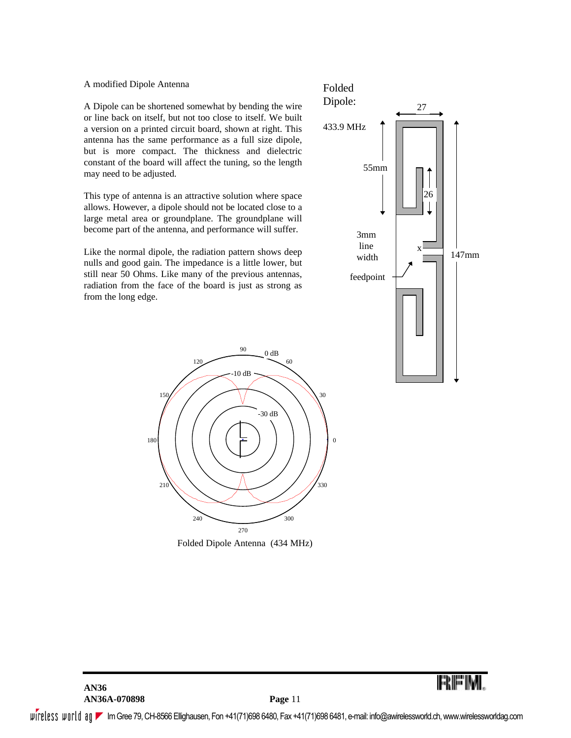A modified Dipole Antenna

A Dipole can be shortened somewhat by bending the wire or line back on itself, but not too close to itself. We built a version on a printed circuit board, shown at right. This antenna has the same performance as a full size dipole, but is more compact. The thickness and dielectric constant of the board will affect the tuning, so the length may need to be adjusted.

This type of antenna is an attractive solution where space allows. However, a dipole should not be located close to a large metal area or groundplane. The groundplane will become part of the antenna, and performance will suffer.

Like the normal dipole, the radiation pattern shows deep nulls and good gain. The impedance is a little lower, but still near 50 Ohms. Like many of the previous antennas, radiation from the face of the board is just as strong as from the long edge.





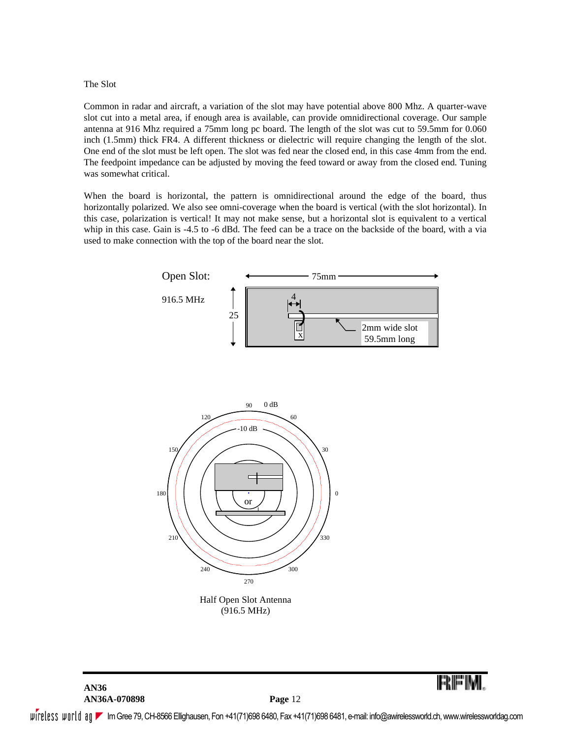### The Slot

Common in radar and aircraft, a variation of the slot may have potential above 800 Mhz. A quarter-wave slot cut into a metal area, if enough area is available, can provide omnidirectional coverage. Our sample antenna at 916 Mhz required a 75mm long pc board. The length of the slot was cut to 59.5mm for 0.060 inch (1.5mm) thick FR4. A different thickness or dielectric will require changing the length of the slot. One end of the slot must be left open. The slot was fed near the closed end, in this case 4mm from the end. The feedpoint impedance can be adjusted by moving the feed toward or away from the closed end. Tuning was somewhat critical.

When the board is horizontal, the pattern is omnidirectional around the edge of the board, thus horizontally polarized. We also see omni-coverage when the board is vertical (with the slot horizontal). In this case, polarization is vertical! It may not make sense, but a horizontal slot is equivalent to a vertical whip in this case. Gain is -4.5 to -6 dBd. The feed can be a trace on the backside of the board, with a via used to make connection with the top of the board near the slot.





# **AN36 AN36A-070898 Page** 12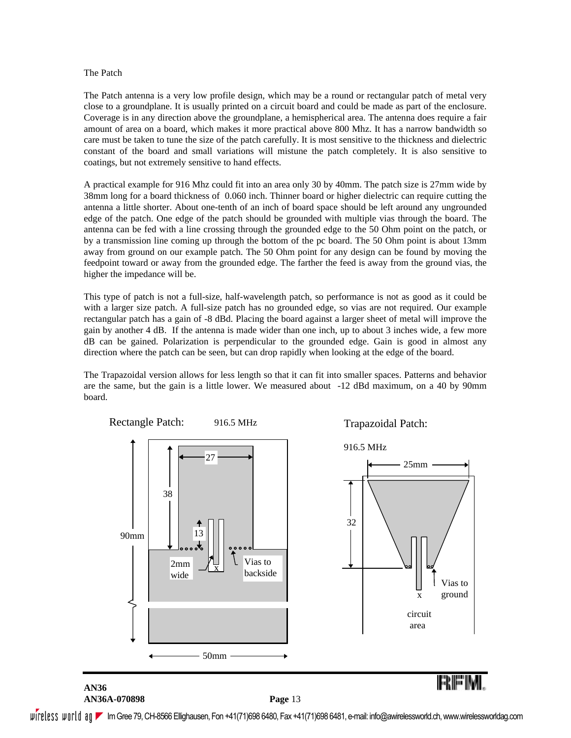### The Patch

The Patch antenna is a very low profile design, which may be a round or rectangular patch of metal very close to a groundplane. It is usually printed on a circuit board and could be made as part of the enclosure. Coverage is in any direction above the groundplane, a hemispherical area. The antenna does require a fair amount of area on a board, which makes it more practical above 800 Mhz. It has a narrow bandwidth so care must be taken to tune the size of the patch carefully. It is most sensitive to the thickness and dielectric constant of the board and small variations will mistune the patch completely. It is also sensitive to coatings, but not extremely sensitive to hand effects.

A practical example for 916 Mhz could fit into an area only 30 by 40mm. The patch size is 27mm wide by 38mm long for a board thickness of 0.060 inch. Thinner board or higher dielectric can require cutting the antenna a little shorter. About one-tenth of an inch of board space should be left around any ungrounded edge of the patch. One edge of the patch should be grounded with multiple vias through the board. The antenna can be fed with a line crossing through the grounded edge to the 50 Ohm point on the patch, or by a transmission line coming up through the bottom of the pc board. The 50 Ohm point is about 13mm away from ground on our example patch. The 50 Ohm point for any design can be found by moving the feedpoint toward or away from the grounded edge. The farther the feed is away from the ground vias, the higher the impedance will be.

This type of patch is not a full-size, half-wavelength patch, so performance is not as good as it could be with a larger size patch. A full-size patch has no grounded edge, so vias are not required. Our example rectangular patch has a gain of -8 dBd. Placing the board against a larger sheet of metal will improve the gain by another 4 dB. If the antenna is made wider than one inch, up to about 3 inches wide, a few more dB can be gained. Polarization is perpendicular to the grounded edge. Gain is good in almost any direction where the patch can be seen, but can drop rapidly when looking at the edge of the board.

The Trapazoidal version allows for less length so that it can fit into smaller spaces. Patterns and behavior are the same, but the gain is a little lower. We measured about -12 dBd maximum, on a 40 by 90mm board.

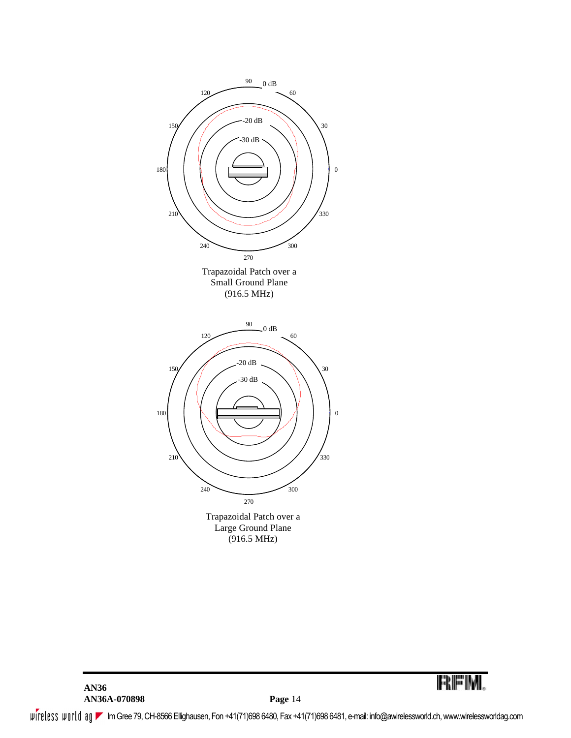

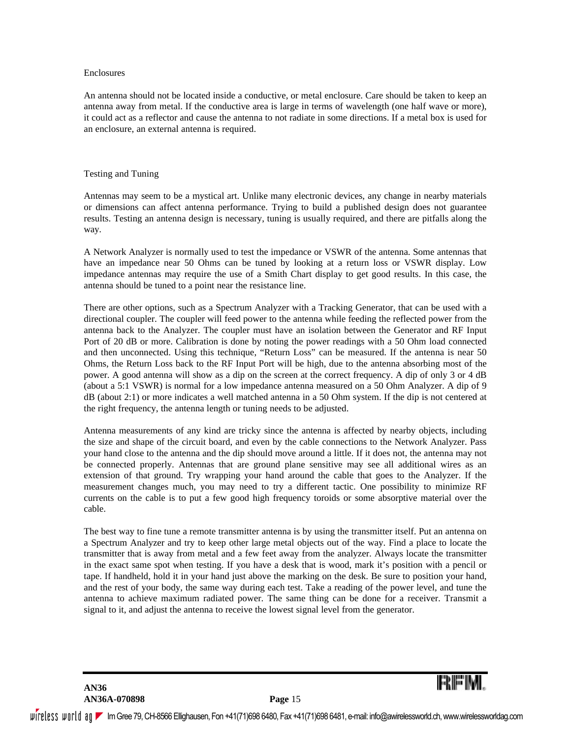### Enclosures

An antenna should not be located inside a conductive, or metal enclosure. Care should be taken to keep an antenna away from metal. If the conductive area is large in terms of wavelength (one half wave or more), it could act as a reflector and cause the antenna to not radiate in some directions. If a metal box is used for an enclosure, an external antenna is required.

### Testing and Tuning

Antennas may seem to be a mystical art. Unlike many electronic devices, any change in nearby materials or dimensions can affect antenna performance. Trying to build a published design does not guarantee results. Testing an antenna design is necessary, tuning is usually required, and there are pitfalls along the way.

A Network Analyzer is normally used to test the impedance or VSWR of the antenna. Some antennas that have an impedance near 50 Ohms can be tuned by looking at a return loss or VSWR display. Low impedance antennas may require the use of a Smith Chart display to get good results. In this case, the antenna should be tuned to a point near the resistance line.

There are other options, such as a Spectrum Analyzer with a Tracking Generator, that can be used with a directional coupler. The coupler will feed power to the antenna while feeding the reflected power from the antenna back to the Analyzer. The coupler must have an isolation between the Generator and RF Input Port of 20 dB or more. Calibration is done by noting the power readings with a 50 Ohm load connected and then unconnected. Using this technique, "Return Loss" can be measured. If the antenna is near 50 Ohms, the Return Loss back to the RF Input Port will be high, due to the antenna absorbing most of the power. A good antenna will show as a dip on the screen at the correct frequency. A dip of only 3 or 4 dB (about a 5:1 VSWR) is normal for a low impedance antenna measured on a 50 Ohm Analyzer. A dip of 9 dB (about 2:1) or more indicates a well matched antenna in a 50 Ohm system. If the dip is not centered at the right frequency, the antenna length or tuning needs to be adjusted.

Antenna measurements of any kind are tricky since the antenna is affected by nearby objects, including the size and shape of the circuit board, and even by the cable connections to the Network Analyzer. Pass your hand close to the antenna and the dip should move around a little. If it does not, the antenna may not be connected properly. Antennas that are ground plane sensitive may see all additional wires as an extension of that ground. Try wrapping your hand around the cable that goes to the Analyzer. If the measurement changes much, you may need to try a different tactic. One possibility to minimize RF currents on the cable is to put a few good high frequency toroids or some absorptive material over the cable.

The best way to fine tune a remote transmitter antenna is by using the transmitter itself. Put an antenna on a Spectrum Analyzer and try to keep other large metal objects out of the way. Find a place to locate the transmitter that is away from metal and a few feet away from the analyzer. Always locate the transmitter in the exact same spot when testing. If you have a desk that is wood, mark it's position with a pencil or tape. If handheld, hold it in your hand just above the marking on the desk. Be sure to position your hand, and the rest of your body, the same way during each test. Take a reading of the power level, and tune the antenna to achieve maximum radiated power. The same thing can be done for a receiver. Transmit a signal to it, and adjust the antenna to receive the lowest signal level from the generator.